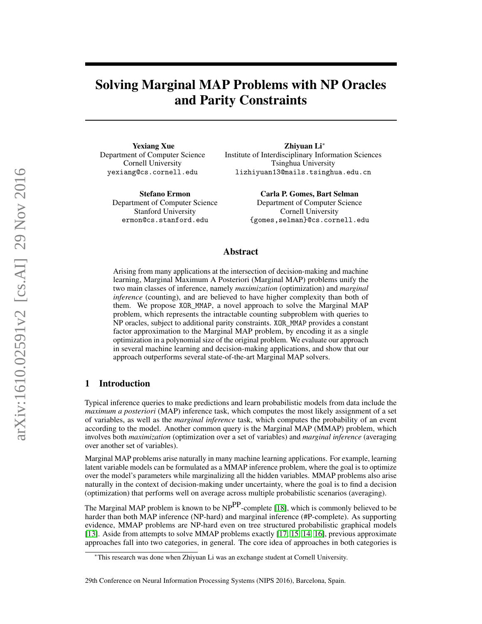# Solving Marginal MAP Problems with NP Oracles and Parity Constraints

Yexiang Xue Department of Computer Science Cornell University yexiang@cs.cornell.edu

> Stefano Ermon Department of Computer Science Stanford University ermon@cs.stanford.edu

Zhiyuan Li<sup>∗</sup> Institute of Interdisciplinary Information Sciences Tsinghua University lizhiyuan13@mails.tsinghua.edu.cn

> Carla P. Gomes, Bart Selman Department of Computer Science Cornell University {gomes,selman}@cs.cornell.edu

## Abstract

Arising from many applications at the intersection of decision-making and machine learning, Marginal Maximum A Posteriori (Marginal MAP) problems unify the two main classes of inference, namely *maximization* (optimization) and *marginal inference* (counting), and are believed to have higher complexity than both of them. We propose XOR\_MMAP, a novel approach to solve the Marginal MAP problem, which represents the intractable counting subproblem with queries to NP oracles, subject to additional parity constraints. XOR\_MMAP provides a constant factor approximation to the Marginal MAP problem, by encoding it as a single optimization in a polynomial size of the original problem. We evaluate our approach in several machine learning and decision-making applications, and show that our approach outperforms several state-of-the-art Marginal MAP solvers.

## 1 Introduction

Typical inference queries to make predictions and learn probabilistic models from data include the *maximum a posteriori* (MAP) inference task, which computes the most likely assignment of a set of variables, as well as the *marginal inference* task, which computes the probability of an event according to the model. Another common query is the Marginal MAP (MMAP) problem, which involves both *maximization* (optimization over a set of variables) and *marginal inference* (averaging over another set of variables).

Marginal MAP problems arise naturally in many machine learning applications. For example, learning latent variable models can be formulated as a MMAP inference problem, where the goal is to optimize over the model's parameters while marginalizing all the hidden variables. MMAP problems also arise naturally in the context of decision-making under uncertainty, where the goal is to find a decision (optimization) that performs well on average across multiple probabilistic scenarios (averaging).

The Marginal MAP problem is known to be  $NP^{PP}$ -complete [\[18\]](#page-8-0), which is commonly believed to be harder than both MAP inference (NP-hard) and marginal inference (#P-complete). As supporting evidence, MMAP problems are NP-hard even on tree structured probabilistic graphical models [\[13\]](#page-8-1). Aside from attempts to solve MMAP problems exactly [\[17,](#page-8-2) [15,](#page-8-3) [14,](#page-8-4) [16\]](#page-8-5), previous approximate approaches fall into two categories, in general. The core idea of approaches in both categories is

<sup>∗</sup>This research was done when Zhiyuan Li was an exchange student at Cornell University.

<sup>29</sup>th Conference on Neural Information Processing Systems (NIPS 2016), Barcelona, Spain.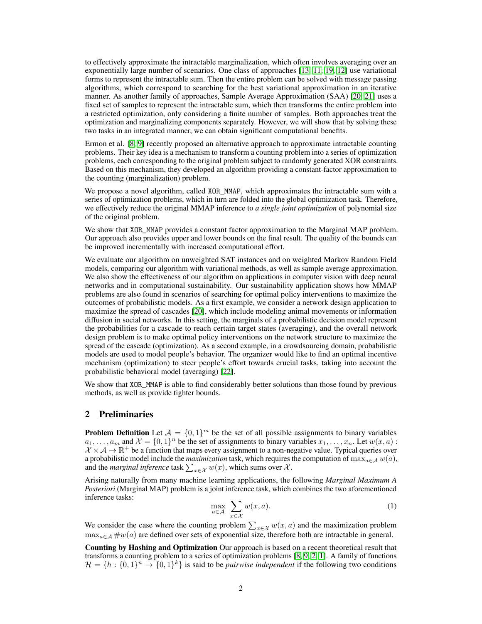to effectively approximate the intractable marginalization, which often involves averaging over an exponentially large number of scenarios. One class of approaches [\[13,](#page-8-1) [11,](#page-8-6) [19,](#page-8-7) [12\]](#page-8-8) use variational forms to represent the intractable sum. Then the entire problem can be solved with message passing algorithms, which correspond to searching for the best variational approximation in an iterative manner. As another family of approaches, Sample Average Approximation (SAA) [\[20,](#page-8-9) [21\]](#page-8-10) uses a fixed set of samples to represent the intractable sum, which then transforms the entire problem into a restricted optimization, only considering a finite number of samples. Both approaches treat the optimization and marginalizing components separately. However, we will show that by solving these two tasks in an integrated manner, we can obtain significant computational benefits.

Ermon et al. [\[8,](#page-8-11) [9\]](#page-8-12) recently proposed an alternative approach to approximate intractable counting problems. Their key idea is a mechanism to transform a counting problem into a series of optimization problems, each corresponding to the original problem subject to randomly generated XOR constraints. Based on this mechanism, they developed an algorithm providing a constant-factor approximation to the counting (marginalization) problem.

We propose a novel algorithm, called XOR\_MMAP, which approximates the intractable sum with a series of optimization problems, which in turn are folded into the global optimization task. Therefore, we effectively reduce the original MMAP inference to *a single joint optimization* of polynomial size of the original problem.

We show that XOR\_MMAP provides a constant factor approximation to the Marginal MAP problem. Our approach also provides upper and lower bounds on the final result. The quality of the bounds can be improved incrementally with increased computational effort.

We evaluate our algorithm on unweighted SAT instances and on weighted Markov Random Field models, comparing our algorithm with variational methods, as well as sample average approximation. We also show the effectiveness of our algorithm on applications in computer vision with deep neural networks and in computational sustainability. Our sustainability application shows how MMAP problems are also found in scenarios of searching for optimal policy interventions to maximize the outcomes of probabilistic models. As a first example, we consider a network design application to maximize the spread of cascades [\[20\]](#page-8-9), which include modeling animal movements or information diffusion in social networks. In this setting, the marginals of a probabilistic decision model represent the probabilities for a cascade to reach certain target states (averaging), and the overall network design problem is to make optimal policy interventions on the network structure to maximize the spread of the cascade (optimization). As a second example, in a crowdsourcing domain, probabilistic models are used to model people's behavior. The organizer would like to find an optimal incentive mechanism (optimization) to steer people's effort towards crucial tasks, taking into account the probabilistic behavioral model (averaging) [\[22\]](#page-8-13).

We show that XOR\_MMAP is able to find considerably better solutions than those found by previous methods, as well as provide tighter bounds.

## 2 Preliminaries

**Problem Definition** Let  $\mathcal{A} = \{0, 1\}^m$  be the set of all possible assignments to binary variables  $a_1, \ldots, a_m$  and  $\mathcal{X} = \{0,1\}^n$  be the set of assignments to binary variables  $x_1, \ldots, x_n$ . Let  $w(x, a)$ :  $\mathcal{X} \times \mathcal{A} \rightarrow \mathbb{R}^+$  be a function that maps every assignment to a non-negative value. Typical queries over a probabilistic model include the *maximization* task, which requires the computation of  $\max_{a \in \mathcal{A}} w(a),$ and the *marginal inference* task  $\sum_{x \in \mathcal{X}} w(x)$ , which sums over  $\mathcal{X}$ .

Arising naturally from many machine learning applications, the following *Marginal Maximum A Posteriori* (Marginal MAP) problem is a joint inference task, which combines the two aforementioned inference tasks:

$$
\max_{a \in \mathcal{A}} \sum_{x \in \mathcal{X}} w(x, a). \tag{1}
$$

We consider the case where the counting problem  $\sum_{x \in \mathcal{X}} w(x, a)$  and the maximization problem  $\max_{a \in \mathcal{A}} \#w(a)$  are defined over sets of exponential size, therefore both are intractable in general.

Counting by Hashing and Optimization Our approach is based on a recent theoretical result that transforms a counting problem to a series of optimization problems [\[8,](#page-8-11) [9,](#page-8-12) [2,](#page-8-14) [1\]](#page-8-15). A family of functions  $\mathcal{H} = \{h : \{0,1\}^n \to \{0,1\}^k\}$  is said to be *pairwise independent* if the following two conditions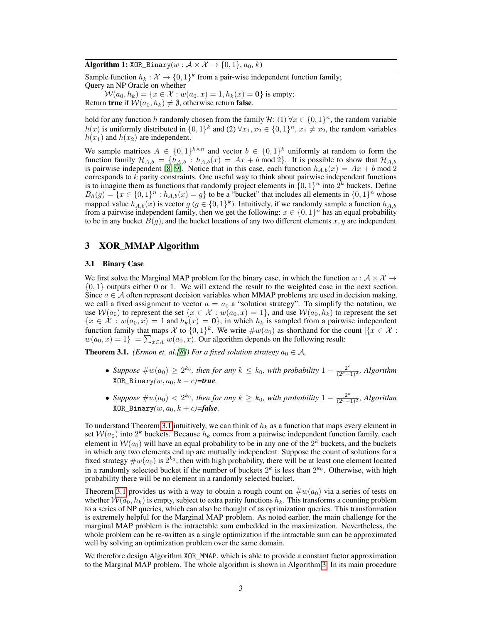## Algorithm 1: XOR\_Binary $(w : \mathcal{A} \times \mathcal{X} \rightarrow \{0, 1\}, a_0, k)$

Sample function  $h_k : \mathcal{X} \to \{0,1\}^k$  from a pair-wise independent function family; Query an NP Oracle on whether

 $W(a_0, h_k) = \{x \in \mathcal{X} : w(a_0, x) = 1, h_k(x) = 0\}$  is empty; Return true if  $W(a_0, h_k) \neq \emptyset$ , otherwise return false.

hold for any function h randomly chosen from the family  $\mathcal{H}$ : (1)  $\forall x \in \{0,1\}^n$ , the random variable  $h(x)$  is uniformly distributed in  $\{0,1\}^k$  and  $(2)$   $\forall x_1, x_2 \in \{0,1\}^n$ ,  $x_1 \neq x_2$ , the random variables  $h(x_1)$  and  $h(x_2)$  are independent.

We sample matrices  $A \in \{0,1\}^{k \times n}$  and vector  $b \in \{0,1\}^k$  uniformly at random to form the function family  $\mathcal{H}_{A,b} = \{h_{A,b} : h_{A,b}(x) = Ax + b \text{ mod } 2\}$ . It is possible to show that  $\mathcal{H}_{A,b}$ is pairwise independent [\[8,](#page-8-11) [9\]](#page-8-12). Notice that in this case, each function  $h_{A,b}(x) = Ax + b \mod 2$ corresponds to  $\vec{k}$  parity constraints. One useful way to think about pairwise independent functions is to imagine them as functions that randomly project elements in  $\{0, 1\}^n$  into  $2^k$  buckets. Define  $B_h(g) = \{x \in \{0,1\}^n : h_{A,b}(x) = g\}$  to be a "bucket" that includes all elements in  $\{0,1\}^n$  whose mapped value  $h_{A,b}(x)$  is vector  $g$  ( $g \in \{0,1\}^k$ ). Intuitively, if we randomly sample a function  $h_{A,b}$ from a pairwise independent family, then we get the following:  $x \in \{0, 1\}^n$  has an equal probability to be in any bucket  $B(g)$ , and the bucket locations of any two different elements  $x, y$  are independent.

# 3 XOR\_MMAP Algorithm

## 3.1 Binary Case

We first solve the Marginal MAP problem for the binary case, in which the function  $w : \mathcal{A} \times \mathcal{X} \rightarrow$  $\{0, 1\}$  outputs either 0 or 1. We will extend the result to the weighted case in the next section. Since  $a \in A$  often represent decision variables when MMAP problems are used in decision making, we call a fixed assignment to vector  $a = a_0$  a "solution strategy". To simplify the notation, we use  $W(a_0)$  to represent the set  $\{x \in \mathcal{X} : w(a_0, x) = 1\}$ , and use  $W(a_0, h_k)$  to represent the set  ${x \in \mathcal{X} : w(a_0, x) = 1$  and  $h_k(x) = 0$ , in which  $h_k$  is sampled from a pairwise independent function family that maps  $\chi$  to  $\{0,1\}^k$ . We write  $\#w(a_0)$  as shorthand for the count  $|\{x \in \mathcal{X} :$  $w(a_0, x) = 1$ } =  $\sum_{x \in \mathcal{X}} w(a_0, x)$ . Our algorithm depends on the following result:

<span id="page-2-0"></span>**Theorem 3.1.** *(Ermon et. al.[\[8\]](#page-8-11)) For a fixed solution strategy*  $a_0 \in A$ *,* 

- *Suppose*  $\#w(a_0) \geq 2^{k_0}$ , then for any  $k \leq k_0$ , with probability  $1 \frac{2^c}{(2^c-1)^2}$ , Algorithm  $XOR\_Binary(w, a_0, k-c)$ =*true*.
- *Suppose*  $\#w(a_0) < 2^{k_0}$ , then for any  $k \ge k_0$ , with probability  $1 \frac{2^c}{(2^c-1)^2}$ , Algorithm  $XOR$  Binary $(w, a_0, k + c) =$ *false*.

To understand Theorem [3.1](#page-2-0) intuitively, we can think of  $h_k$  as a function that maps every element in set  $W(a_0)$  into  $2^k$  buckets. Because  $h_k$  comes from a pairwise independent function family, each element in  $W(a_0)$  will have an equal probability to be in any one of the  $2^k$  buckets, and the buckets in which any two elements end up are mutually independent. Suppose the count of solutions for a fixed strategy  $\#w(a_0)$  is  $2^{k_0}$ , then with high probability, there will be at least one element located in a randomly selected bucket if the number of buckets  $2^k$  is less than  $2^{k_0}$ . Otherwise, with high probability there will be no element in a randomly selected bucket.

Theorem [3.1](#page-2-0) provides us with a way to obtain a rough count on  $\#w(a_0)$  via a series of tests on whether  $W(a_0, h_k)$  is empty, subject to extra parity functions  $h_k$ . This transforms a counting problem to a series of NP queries, which can also be thought of as optimization queries. This transformation is extremely helpful for the Marginal MAP problem. As noted earlier, the main challenge for the marginal MAP problem is the intractable sum embedded in the maximization. Nevertheless, the whole problem can be re-written as a single optimization if the intractable sum can be approximated well by solving an optimization problem over the same domain.

We therefore design Algorithm XOR\_MMAP, which is able to provide a constant factor approximation to the Marginal MAP problem. The whole algorithm is shown in Algorithm [3.](#page-3-0) In its main procedure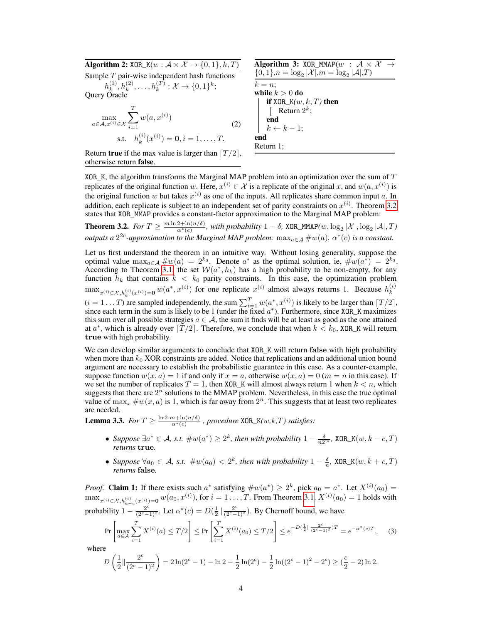Algorithm 2:  $XOR_K(w : \mathcal{A} \times \mathcal{X} \rightarrow \{0,1\}, k, T)$ 

Sample T pair-wise independent hash functions  $h_k^{(1)}$  $h_k^{(1)}, h_k^{(2)}, \ldots, h_k^{(T)}: \mathcal{X} \to \{0,1\}^k;$ Query Oracle  $\boldsymbol{\mathcal{I}}$ 

<span id="page-3-3"></span>
$$
\max_{a \in A, x^{(i)} \in \mathcal{X}} \sum_{i=1} w(a, x^{(i)})
$$
  
s.t.  $h_k^{(i)}(x^{(i)}) = \mathbf{0}, i = 1, ..., T.$  (2)

<span id="page-3-0"></span>Algorithm 3: XOR MMAP( $w$  :  $A \times X$  ${0, 1}, n = \log_2 |\mathcal{X}|, m = \log_2 |\mathcal{A}|, T$  $k = n$ : while  $k > 0$  do if XOR  $K(w, k, T)$  then Return  $2^k$ ; end  $k \leftarrow k - 1$ ; end Return 1;

Return true if the max value is larger than  $T / 2$ , otherwise return false.

XOR\_K, the algorithm transforms the Marginal MAP problem into an optimization over the sum of T replicates of the original function w. Here,  $x^{(i)} \in \mathcal{X}$  is a replicate of the original x, and  $w(a, x^{(i)})$  is the original function w but takes  $x^{(i)}$  as one of the inputs. All replicates share common input a. In addition, each replicate is subject to an independent set of parity constraints on  $x^{(i)}$ . Theorem [3.2](#page-3-1) states that XOR\_MMAP provides a constant-factor approximation to the Marginal MAP problem:

<span id="page-3-1"></span>**Theorem 3.2.** *For*  $T \ge \frac{m \ln 2 + \ln(n/\delta)}{\alpha^*(c)}$ , with probability  $1 - \delta$ , XOR\_MMAP $(w, \log_2 |\mathcal{X}|, \log_2 |\mathcal{A}|, T)$ *outputs a*  $2^{2c}$ -approximation to the Marginal MAP problem:  $\max_{a \in A} \# w(a)$ .  $\alpha^*(c)$  is a constant.

Let us first understand the theorem in an intuitive way. Without losing generality, suppose the optimal value  $\max_{a \in A} \# w(a) = 2^{k_0}$ . Denote  $a^*$  as the optimal solution, ie,  $\# w(a^*) = 2^{k_0}$ . According to Theorem [3.1,](#page-2-0) the set  $W(a^*, h_k)$  has a high probability to be non-empty, for any function  $h_k$  that contains  $k < k_0$  parity constraints. In this case, the optimization problem  $\max_{x^{(i)} \in \mathcal{X}, h_k^{(i)}(x^{(i)})=0} w(a^*, x^{(i)})$  for one replicate  $x^{(i)}$  almost always returns 1. Because  $h_k^{(i)}$ k  $(i = 1...T)$  are sampled independently, the sum  $\sum_{i=1}^{T} w(a^*, x^{(i)})$  is likely to be larger than  $[T/2]$ , since each term in the sum is likely to be 1 (under the fixed  $a^*$ ). Furthermore, since XOR\_K maximizes this sum over all possible strategies  $a \in A$ , the sum it finds will be at least as good as the one attained at  $a^*$ , which is already over  $\lceil T/2 \rceil$ . Therefore, we conclude that when  $k < k_0$ , XOR\_K will return true with high probability.

We can develop similar arguments to conclude that XOR\_K will return false with high probability when more than  $k_0$  XOR constraints are added. Notice that replications and an additional union bound argument are necessary to establish the probabilistic guarantee in this case. As a counter-example, suppose function  $w(x, a) = 1$  if and only if  $x = a$ , otherwise  $w(x, a) = 0$  ( $m = n$  in this case). If we set the number of replicates  $T = 1$ , then XOR\_K will almost always return 1 when  $k < n$ , which suggests that there are  $2^n$  solutions to the MMAP problem. Nevertheless, in this case the true optimal value of  $\max_x \# w(x, a)$  is 1, which is far away from  $2^n$ . This suggests that at least two replicates are needed.

<span id="page-3-2"></span>**Lemma 3.3.** *For*  $T \ge \frac{\ln 2 \cdot m + \ln(n/\delta)}{\alpha^*(c)}$ , procedure XOR\_K(w,k,T) satisfies:

- *Suppose*  $\exists a^* \in \mathcal{A}$ , *s.t.*  $\#w(a^*) \geq 2^k$ , *then with probability*  $1 \frac{\delta}{n2^m}$ ,  $\text{XOR\_K}(w, k-c, T)$ *returns* true*.*
- *Suppose*  $\forall a_0 \in \mathcal{A}$ , *s.t.*  $\#w(a_0) < 2^k$ , then with probability  $1 \frac{\delta}{n}$ , XOR\_K $(w, k + c, T)$ *returns* false*.*

*Proof.* Claim 1: If there exists such  $a^*$  satisfying  $\#w(a^*) \ge 2^k$ , pick  $a_0 = a^*$ . Let  $X^{(i)}(a_0) =$  $\max_{x^{(i)} \in \mathcal{X}, h_{k-c}^{(i)}(x^{(i)})=0} w(a_0, x^{(i)})$ , for  $i = 1, \ldots, T$ . From Theorem [3.1,](#page-2-0)  $X^{(i)}(a_0) = 1$  holds with probability  $1 - \frac{2^c}{(2^c-1)^2}$ . Let  $\alpha^*(c) = D(\frac{1}{2} || \frac{2^c}{(2^c-1)^2})$ . By Chernoff bound, we have

$$
\Pr\left[\max_{a\in\mathcal{A}}\sum_{i=1}^{T} X^{(i)}(a) \le T/2\right] \le \Pr\left[\sum_{i=1}^{T} X^{(i)}(a_0) \le T/2\right] \le e^{-D(\frac{1}{2}\|\frac{2^c}{(2^c-1)^2})T} = e^{-\alpha^*(c)T},\tag{3}
$$

where

$$
D\left(\frac{1}{2}\|\frac{2^c}{(2^c-1)^2}\right)=2\ln(2^c-1)-\ln 2-\frac{1}{2}\ln(2^c)-\frac{1}{2}\ln((2^c-1)^2-2^c)\geq (\frac{c}{2}-2)\ln 2.
$$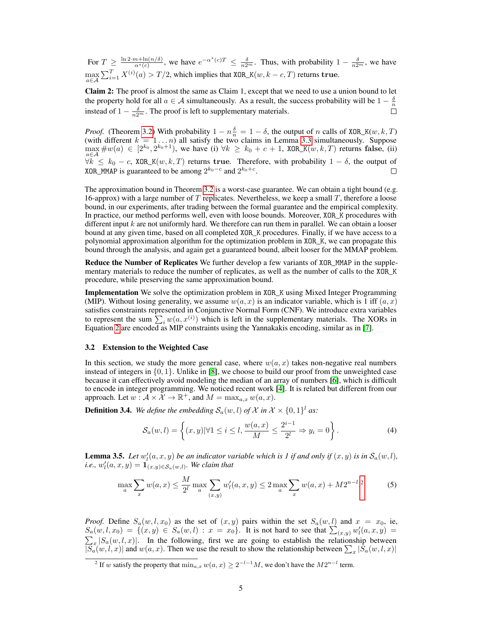For  $T \geq \frac{\ln 2 \cdot m + \ln(n/\delta)}{\alpha^*(c)}$ , we have  $e^{-\alpha^*(c)T} \leq \frac{\delta}{n2^m}$ . Thus, with probability  $1 - \frac{\delta}{n2^m}$ , we have  $\max_{a \in \mathcal{A}} \sum_{i=1}^T X^{(i)}(a) > T/2$ , which implies that XOR\_K $(w, k-c, T)$  returns  ${\bf true}.$ 

Claim 2: The proof is almost the same as Claim 1, except that we need to use a union bound to let the property hold for all  $a \in \mathcal{A}$  simultaneously. As a result, the success probability will be  $1 - \frac{\delta}{n}$ instead of  $1 - \frac{\delta}{n2^m}$ . The proof is left to supplementary materials.

*Proof.* (Theorem [3.2\)](#page-3-1) With probability  $1 - n\frac{\delta}{n} = 1 - \delta$ , the output of n calls of XOR\_K(w, k, T) (with different  $k = 1 ... n$ ) all satisfy the two claims in Lemma [3.3](#page-3-2) simultaneously. Suppose  $\max_{a \in A} \#w(a) \in [2^{k_0}, 2^{k_0+1})$ , we have (i)  $\forall k \ge k_0 + c + 1$ , XOR\_K(w, k, T) returns false, (ii)  $\forall k \leq k_0 - c$ , XOR\_K(w, k, T) returns true. Therefore, with probability  $1 - \delta$ , the output of XOR\_MMAP is guaranteed to be among  $2^{k_0-c}$  and  $2^{k_0+c}$ . XOR\_MMAP is guaranteed to be among  $2^{k_0-c}$  and 2

The approximation bound in Theorem [3.2](#page-3-1) is a worst-case guarantee. We can obtain a tight bound (e.g. 16-approx) with a large number of  $T$  replicates. Nevertheless, we keep a small  $T$ , therefore a loose bound, in our experiments, after trading between the formal guarantee and the empirical complexity. In practice, our method performs well, even with loose bounds. Moreover, XOR\_K procedures with different input  $k$  are not uniformly hard. We therefore can run them in parallel. We can obtain a looser bound at any given time, based on all completed XOR\_K procedures. Finally, if we have access to a polynomial approximation algorithm for the optimization problem in XOR\_K, we can propagate this bound through the analysis, and again get a guaranteed bound, albeit looser for the MMAP problem.

Reduce the Number of Replicates We further develop a few variants of XOR\_MMAP in the supplementary materials to reduce the number of replicates, as well as the number of calls to the XOR\_K procedure, while preserving the same approximation bound.

**Implementation** We solve the optimization problem in XOR K using Mixed Integer Programming (MIP). Without losing generality, we assume  $w(a, x)$  is an indicator variable, which is 1 iff  $(a, x)$ satisfies constraints represented in Conjunctive Normal Form (CNF). We introduce extra variables to represent the sum  $\sum_i w(a, x^{(i)})$  which is left in the supplementary materials. The XORs in Equation [2](#page-3-3) are encoded as MIP constraints using the Yannakakis encoding, similar as in [\[7\]](#page-8-16).

#### 3.2 Extension to the Weighted Case

In this section, we study the more general case, where  $w(a, x)$  takes non-negative real numbers instead of integers in  $\{0, 1\}$ . Unlike in [\[8\]](#page-8-11), we choose to build our proof from the unweighted case because it can effectively avoid modeling the median of an array of numbers [\[6\]](#page-8-17), which is difficult to encode in integer programming. We noticed recent work [\[4\]](#page-8-18). It is related but different from our approach. Let  $w : \mathcal{A} \times \mathcal{X} \to \mathbb{R}^+$ , and  $M = \max_{a,x} w(a,x)$ .

**Definition 3.4.** We define the embedding  $\mathcal{S}_a(w, l)$  of X in  $\mathcal{X} \times \{0, 1\}^l$  as:

<span id="page-4-2"></span><span id="page-4-1"></span>
$$
\mathcal{S}_a(w,l) = \left\{ (x,y) \middle| \forall 1 \le i \le l, \frac{w(a,x)}{M} \le \frac{2^{i-1}}{2^l} \Rightarrow y_i = 0 \right\}.
$$
 (4)

**Lemma 3.5.** Let  $w'_i(a, x, y)$  be an indicator variable which is 1 if and only if  $(x, y)$  is in  $\mathcal{S}_a(w, l)$ , *i.e.*,  $w'_l(a, x, y) = \mathbf{1}_{(x,y)\in S_a(w,l)}$ *. We claim that* 

$$
\max_{a} \sum_{x} w(a,x) \le \frac{M}{2^l} \max_{a} \sum_{(x,y)} w'_l(a,x,y) \le 2 \max_{a} \sum_{x} w(a,x) + M2^{n-l}.
$$
 (5)

*Proof.* Define  $S_a(w, l, x_0)$  as the set of  $(x, y)$  pairs within the set  $S_a(w, l)$  and  $x = x_0$ , ie,  $S_a(w, l, x_0) = \{ (x, y) \in S_a(w, l) : x = x_0 \}.$  It is not hard to see that  $\sum_{(x, y)} w'_l(a, x, y) =$  $\sum_{x} |S_a(w, l, x)|$ . In the following, first we are going to establish the relationship between  $|S_a(w, l, x)|$  and  $w(a, x)$ . Then we use the result to show the relationship between  $\sum_x |S_a(w, l, x)|$ 

<span id="page-4-0"></span><sup>&</sup>lt;sup>2</sup> If w satisfy the property that  $\min_{a,x} w(a,x) \ge 2^{-l-1}M$ , we don't have the  $M2^{n-l}$  term.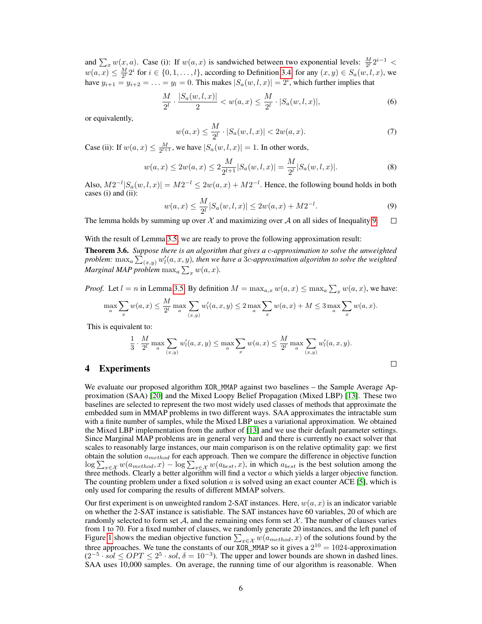and  $\sum_x w(x, a)$ . Case (i): If  $w(a, x)$  is sandwiched between two exponential levels:  $\frac{M}{2^l} 2^{i-1}$  <  $w(a, x) \leq \frac{M}{2^l} 2^i$  for  $i \in \{0, 1, \dots, l\}$ , according to Definition [3.4,](#page-4-1) for any  $(x, y) \in S_a(w, l, x)$ , we have  $y_{i+1} = y_{i+2} = \ldots = y_l = 0$ . This makes  $|S_a(w, l, x)| = 2^i$ , which further implies that

$$
\frac{M}{2^l} \cdot \frac{|S_a(w, l, x)|}{2} < w(a, x) \le \frac{M}{2^l} \cdot |S_a(w, l, x)|,\tag{6}
$$

or equivalently,

$$
w(a,x) \le \frac{M}{2^l} \cdot |S_a(w,l,x)| < 2w(a,x). \tag{7}
$$

Case (ii): If  $w(a, x) \leq \frac{M}{2^{l+1}}$ , we have  $|S_a(w, l, x)| = 1$ . In other words,

$$
w(a,x) \le 2w(a,x) \le 2\frac{M}{2^{l+1}}|S_a(w,l,x)| = \frac{M}{2^l}|S_a(w,l,x)|. \tag{8}
$$

Also,  $M2^{-l}|S_a(w, l, x)| = M2^{-l} \leq 2w(a, x) + M2^{-l}$ . Hence, the following bound holds in both cases (i) and (ii):

<span id="page-5-0"></span>
$$
w(a,x) \le \frac{M}{2^l} |S_a(w,l,x)| \le 2w(a,x) + M2^{-l}.\tag{9}
$$

 $\Box$ 

The lemma holds by summing up over  $\mathcal X$  and maximizing over  $\mathcal A$  on all sides of Inequality [9.](#page-5-0)  $\Box$ 

With the result of Lemma [3.5,](#page-4-2) we are ready to prove the following approximation result:

Theorem 3.6. *Suppose there is an algorithm that gives a* c*-approximation to solve the unweighted* problem:  $\max_a \sum_{(x,y)} w'_l(a,x,y)$ , then we have a 3c-approximation algorithm to solve the weighted *Marginal MAP problem*  $\max_a \sum_x w(a, x)$ *.* 

*Proof.* Let  $l = n$  in Lemma [3.5.](#page-4-2) By definition  $M = \max_{a,x} w(a,x) \leq \max_a \sum_x w(a,x)$ , we have:

$$
\max_{a} \sum_{x} w(a,x) \le \frac{M}{2^l} \max_{a} \sum_{(x,y)} w'_l(a,x,y) \le 2 \max_{a} \sum_{x} w(a,x) + M \le 3 \max_{a} \sum_{x} w(a,x).
$$

This is equivalent to:

$$
\frac{1}{3} \cdot \frac{M}{2^l} \max_{a} \sum_{(x,y)} w'_l(a,x,y) \le \max_{a} \sum_{x} w(a,x) \le \frac{M}{2^l} \max_{a} \sum_{(x,y)} w'_l(a,x,y).
$$

# 4 Experiments

We evaluate our proposed algorithm XOR\_MMAP against two baselines – the Sample Average Approximation (SAA) [\[20\]](#page-8-9) and the Mixed Loopy Belief Propagation (Mixed LBP) [\[13\]](#page-8-1). These two baselines are selected to represent the two most widely used classes of methods that approximate the embedded sum in MMAP problems in two different ways. SAA approximates the intractable sum with a finite number of samples, while the Mixed LBP uses a variational approximation. We obtained the Mixed LBP implementation from the author of [\[13\]](#page-8-1) and we use their default parameter settings. Since Marginal MAP problems are in general very hard and there is currently no exact solver that scales to reasonably large instances, our main comparison is on the relative optimality gap: we first obtain the solution  $a_{method}$  for each approach. Then we compare the difference in objective function  $\log \sum_{x \in \mathcal{X}} w(a_{method}, x) - \log \sum_{x \in \mathcal{X}} w(a_{best}, x)$ , in which  $a_{best}$  is the best solution among the three methods. Clearly a better algorithm will find a vector  $a$  which yields a larger objective function. The counting problem under a fixed solution  $a$  is solved using an exact counter ACE [\[5\]](#page-8-19), which is only used for comparing the results of different MMAP solvers.

Our first experiment is on unweighted random 2-SAT instances. Here,  $w(a, x)$  is an indicator variable on whether the 2-SAT instance is satisfiable. The SAT instances have 60 variables, 20 of which are randomly selected to form set  $A$ , and the remaining ones form set  $X$ . The number of clauses varies from 1 to 70. For a fixed number of clauses, we randomly generate 20 instances, and the left panel of Figure [1](#page-6-0) shows the median objective function  $\sum_{x \in \mathcal{X}} w(a_{method}, x)$  of the solutions found by the three approaches. We tune the constants of our XOR\_MMAP so it gives a  $2^{10} = 1024$ -approximation  $(2^{-5} \cdot \overline{sol} \leq OPT \leq 2^5 \cdot \overline{sol}, \delta = 10^{-3})$ . The upper and lower bounds are shown in dashed lines. SAA uses 10,000 samples. On average, the running time of our algorithm is reasonable. When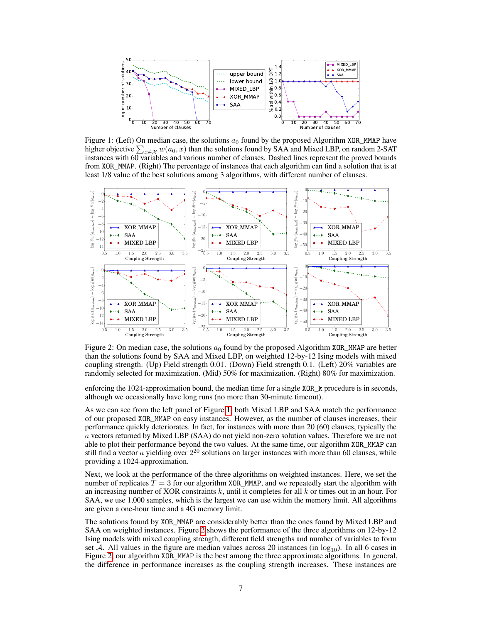<span id="page-6-0"></span>

Figure 1: (Left) On median case, the solutions  $a_0$  found by the proposed Algorithm XOR\_MMAP have higher objective  $\sum_{x \in \mathcal{X}} w(a_0, x)$  than the solutions found by SAA and Mixed LBP, on random 2-SAT instances with 60 variables and various number of clauses. Dashed lines represent the proved bounds from XOR\_MMAP. (Right) The percentage of instances that each algorithm can find a solution that is at least 1/8 value of the best solutions among 3 algorithms, with different number of clauses.

<span id="page-6-1"></span>

Figure 2: On median case, the solutions  $a_0$  found by the proposed Algorithm XOR\_MMAP are better than the solutions found by SAA and Mixed LBP, on weighted 12-by-12 Ising models with mixed coupling strength. (Up) Field strength 0.01. (Down) Field strength 0.1. (Left) 20% variables are randomly selected for maximization. (Mid) 50% for maximization. (Right) 80% for maximization.

enforcing the 1024-approximation bound, the median time for a single XOR\_k procedure is in seconds, although we occasionally have long runs (no more than 30-minute timeout).

As we can see from the left panel of Figure [1,](#page-6-0) both Mixed LBP and SAA match the performance of our proposed XOR\_MMAP on easy instances. However, as the number of clauses increases, their performance quickly deteriorates. In fact, for instances with more than 20 (60) clauses, typically the a vectors returned by Mixed LBP (SAA) do not yield non-zero solution values. Therefore we are not able to plot their performance beyond the two values. At the same time, our algorithm XOR\_MMAP can still find a vector  $a$  yielding over  $2^{20}$  solutions on larger instances with more than 60 clauses, while providing a 1024-approximation.

Next, we look at the performance of the three algorithms on weighted instances. Here, we set the number of replicates  $T = 3$  for our algorithm XOR\_MMAP, and we repeatedly start the algorithm with an increasing number of XOR constraints  $k$ , until it completes for all  $k$  or times out in an hour. For SAA, we use 1,000 samples, which is the largest we can use within the memory limit. All algorithms are given a one-hour time and a 4G memory limit.

The solutions found by XOR\_MMAP are considerably better than the ones found by Mixed LBP and SAA on weighted instances. Figure [2](#page-6-1) shows the performance of the three algorithms on 12-by-12 Ising models with mixed coupling strength, different field strengths and number of variables to form set A. All values in the figure are median values across 20 instances (in  $log_{10}$ ). In all 6 cases in Figure [2,](#page-6-1) our algorithm XOR\_MMAP is the best among the three approximate algorithms. In general, the difference in performance increases as the coupling strength increases. These instances are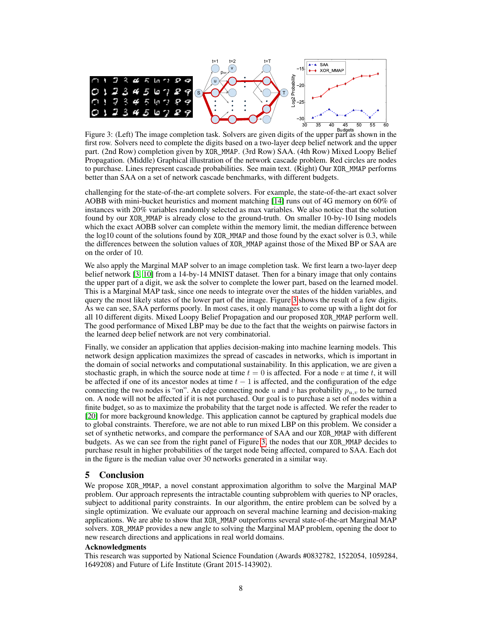<span id="page-7-0"></span>

<sup>30</sup> <sup>35</sup> <sup>40</sup> <sup>45</sup> <sup>50</sup> <sup>55 60</sup><br>Figure 3: (Left) The image completion task. Solvers are given digits of the upper part as shown in the first row. Solvers need to complete the digits based on a two-layer deep belief network and the upper part. (2nd Row) completion given by XOR\_MMAP. (3rd Row) SAA. (4th Row) Mixed Loopy Belief Propagation. (Middle) Graphical illustration of the network cascade problem. Red circles are nodes to purchase. Lines represent cascade probabilities. See main text. (Right) Our XOR\_MMAP performs better than SAA on a set of network cascade benchmarks, with different budgets.

challenging for the state-of-the-art complete solvers. For example, the state-of-the-art exact solver AOBB with mini-bucket heuristics and moment matching [\[14\]](#page-8-4) runs out of 4G memory on 60% of instances with 20% variables randomly selected as max variables. We also notice that the solution found by our XOR\_MMAP is already close to the ground-truth. On smaller 10-by-10 Ising models which the exact AOBB solver can complete within the memory limit, the median difference between the  $log10$  count of the solutions found by XOR MMAP and those found by the exact solver is 0.3, while the differences between the solution values of XOR\_MMAP against those of the Mixed BP or SAA are on the order of 10.

We also apply the Marginal MAP solver to an image completion task. We first learn a two-layer deep belief network [\[3,](#page-8-20) [10\]](#page-8-21) from a 14-by-14 MNIST dataset. Then for a binary image that only contains the upper part of a digit, we ask the solver to complete the lower part, based on the learned model. This is a Marginal MAP task, since one needs to integrate over the states of the hidden variables, and query the most likely states of the lower part of the image. Figure [3](#page-7-0) shows the result of a few digits. As we can see, SAA performs poorly. In most cases, it only manages to come up with a light dot for all 10 different digits. Mixed Loopy Belief Propagation and our proposed XOR\_MMAP perform well. The good performance of Mixed LBP may be due to the fact that the weights on pairwise factors in the learned deep belief network are not very combinatorial.

Finally, we consider an application that applies decision-making into machine learning models. This network design application maximizes the spread of cascades in networks, which is important in the domain of social networks and computational sustainability. In this application, we are given a stochastic graph, in which the source node at time  $t = 0$  is affected. For a node v at time t, it will be affected if one of its ancestor nodes at time  $t - 1$  is affected, and the configuration of the edge connecting the two nodes is "on". An edge connecting node u and v has probability  $p_{u,v}$  to be turned on. A node will not be affected if it is not purchased. Our goal is to purchase a set of nodes within a finite budget, so as to maximize the probability that the target node is affected. We refer the reader to [\[20\]](#page-8-9) for more background knowledge. This application cannot be captured by graphical models due to global constraints. Therefore, we are not able to run mixed LBP on this problem. We consider a set of synthetic networks, and compare the performance of SAA and our XOR\_MMAP with different budgets. As we can see from the right panel of Figure [3,](#page-7-0) the nodes that our XOR\_MMAP decides to purchase result in higher probabilities of the target node being affected, compared to SAA. Each dot in the figure is the median value over 30 networks generated in a similar way.

## 5 Conclusion

We propose XOR\_MMAP, a novel constant approximation algorithm to solve the Marginal MAP problem. Our approach represents the intractable counting subproblem with queries to NP oracles, subject to additional parity constraints. In our algorithm, the entire problem can be solved by a single optimization. We evaluate our approach on several machine learning and decision-making applications. We are able to show that XOR\_MMAP outperforms several state-of-the-art Marginal MAP solvers. XOR\_MMAP provides a new angle to solving the Marginal MAP problem, opening the door to new research directions and applications in real world domains.

#### Acknowledgments

This research was supported by National Science Foundation (Awards #0832782, 1522054, 1059284, 1649208) and Future of Life Institute (Grant 2015-143902).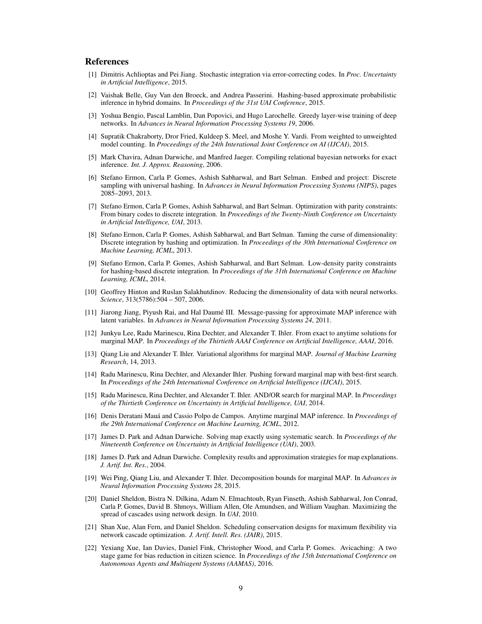## References

- <span id="page-8-15"></span>[1] Dimitris Achlioptas and Pei Jiang. Stochastic integration via error-correcting codes. In *Proc. Uncertainty in Artificial Intelligence*, 2015.
- <span id="page-8-14"></span>[2] Vaishak Belle, Guy Van den Broeck, and Andrea Passerini. Hashing-based approximate probabilistic inference in hybrid domains. In *Proceedings of the 31st UAI Conference*, 2015.
- <span id="page-8-20"></span>[3] Yoshua Bengio, Pascal Lamblin, Dan Popovici, and Hugo Larochelle. Greedy layer-wise training of deep networks. In *Advances in Neural Information Processing Systems 19*, 2006.
- <span id="page-8-18"></span>[4] Supratik Chakraborty, Dror Fried, Kuldeep S. Meel, and Moshe Y. Vardi. From weighted to unweighted model counting. In *Proceedings of the 24th Interational Joint Conference on AI (IJCAI)*, 2015.
- <span id="page-8-19"></span>[5] Mark Chavira, Adnan Darwiche, and Manfred Jaeger. Compiling relational bayesian networks for exact inference. *Int. J. Approx. Reasoning*, 2006.
- <span id="page-8-17"></span>[6] Stefano Ermon, Carla P. Gomes, Ashish Sabharwal, and Bart Selman. Embed and project: Discrete sampling with universal hashing. In *Advances in Neural Information Processing Systems (NIPS)*, pages 2085–2093, 2013.
- <span id="page-8-16"></span>[7] Stefano Ermon, Carla P. Gomes, Ashish Sabharwal, and Bart Selman. Optimization with parity constraints: From binary codes to discrete integration. In *Proceedings of the Twenty-Ninth Conference on Uncertainty in Artificial Intelligence, UAI*, 2013.
- <span id="page-8-11"></span>[8] Stefano Ermon, Carla P. Gomes, Ashish Sabharwal, and Bart Selman. Taming the curse of dimensionality: Discrete integration by hashing and optimization. In *Proceedings of the 30th International Conference on Machine Learning, ICML*, 2013.
- <span id="page-8-12"></span>[9] Stefano Ermon, Carla P. Gomes, Ashish Sabharwal, and Bart Selman. Low-density parity constraints for hashing-based discrete integration. In *Proceedings of the 31th International Conference on Machine Learning, ICML*, 2014.
- <span id="page-8-21"></span>[10] Geoffrey Hinton and Ruslan Salakhutdinov. Reducing the dimensionality of data with neural networks. *Science*, 313(5786):504 – 507, 2006.
- <span id="page-8-6"></span>[11] Jiarong Jiang, Piyush Rai, and Hal Daumé III. Message-passing for approximate MAP inference with latent variables. In *Advances in Neural Information Processing Systems 24*, 2011.
- <span id="page-8-8"></span>[12] Junkyu Lee, Radu Marinescu, Rina Dechter, and Alexander T. Ihler. From exact to anytime solutions for marginal MAP. In *Proceedings of the Thirtieth AAAI Conference on Artificial Intelligence, AAAI*, 2016.
- <span id="page-8-1"></span>[13] Qiang Liu and Alexander T. Ihler. Variational algorithms for marginal MAP. *Journal of Machine Learning Research*, 14, 2013.
- <span id="page-8-4"></span>[14] Radu Marinescu, Rina Dechter, and Alexander Ihler. Pushing forward marginal map with best-first search. In *Proceedings of the 24th International Conference on Artificial Intelligence (IJCAI)*, 2015.
- <span id="page-8-3"></span>[15] Radu Marinescu, Rina Dechter, and Alexander T. Ihler. AND/OR search for marginal MAP. In *Proceedings of the Thirtieth Conference on Uncertainty in Artificial Intelligence, UAI*, 2014.
- <span id="page-8-5"></span>[16] Denis Deratani Mauá and Cassio Polpo de Campos. Anytime marginal MAP inference. In *Proceedings of the 29th International Conference on Machine Learning, ICML*, 2012.
- <span id="page-8-2"></span>[17] James D. Park and Adnan Darwiche. Solving map exactly using systematic search. In *Proceedings of the Nineteenth Conference on Uncertainty in Artificial Intelligence (UAI)*, 2003.
- <span id="page-8-0"></span>[18] James D. Park and Adnan Darwiche. Complexity results and approximation strategies for map explanations. *J. Artif. Int. Res.*, 2004.
- <span id="page-8-7"></span>[19] Wei Ping, Qiang Liu, and Alexander T. Ihler. Decomposition bounds for marginal MAP. In *Advances in Neural Information Processing Systems 28*, 2015.
- <span id="page-8-9"></span>[20] Daniel Sheldon, Bistra N. Dilkina, Adam N. Elmachtoub, Ryan Finseth, Ashish Sabharwal, Jon Conrad, Carla P. Gomes, David B. Shmoys, William Allen, Ole Amundsen, and William Vaughan. Maximizing the spread of cascades using network design. In *UAI*, 2010.
- <span id="page-8-10"></span>[21] Shan Xue, Alan Fern, and Daniel Sheldon. Scheduling conservation designs for maximum flexibility via network cascade optimization. *J. Artif. Intell. Res. (JAIR)*, 2015.
- <span id="page-8-13"></span>[22] Yexiang Xue, Ian Davies, Daniel Fink, Christopher Wood, and Carla P. Gomes. Avicaching: A two stage game for bias reduction in citizen science. In *Proceedings of the 15th International Conference on Autonomous Agents and Multiagent Systems (AAMAS)*, 2016.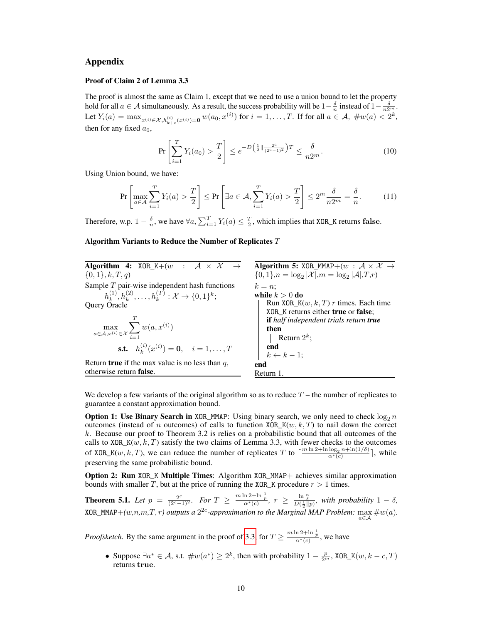# Appendix

#### Proof of Claim 2 of Lemma 3.3

The proof is almost the same as Claim 1, except that we need to use a union bound to let the property hold for all  $a \in \mathcal{A}$  simultaneously. As a result, the success probability will be  $1-\frac{\delta}{n}$  instead of  $1-\frac{\delta}{n2^m}$ . Let  $Y_i(a) = \max_{x^{(i)} \in \mathcal{X}, h_{k+c}^{(i)}(x^{(i)})=0} w(a_0, x^{(i)})$  for  $i = 1, ..., T$ . If for all  $a \in \mathcal{A}, \#w(a) < 2^k$ , then for any fixed  $a_0$ ,

$$
\Pr\left[\sum_{i=1}^{T} Y_i(a_0) > \frac{T}{2}\right] \le e^{-D\left(\frac{1}{2}\|\frac{2^c}{(2^c-1)^2}\right)T} \le \frac{\delta}{n2^m}.\tag{10}
$$

Using Union bound, we have:

$$
\Pr\left[\max_{a\in\mathcal{A}}\sum_{i=1}^{T}Y_i(a) > \frac{T}{2}\right] \le \Pr\left[\exists a\in\mathcal{A},\sum_{i=1}^{T}Y_i(a) > \frac{T}{2}\right] \le 2^m \frac{\delta}{n2^m} = \frac{\delta}{n}.\tag{11}
$$

Therefore, w.p.  $1 - \frac{\delta}{n}$ , we have  $\forall a, \sum_{i=1}^{T} Y_i(a) \leq \frac{T}{2}$ , which implies that XOR\_K returns false.

### Algorithm Variants to Reduce the Number of Replicates  $T$

| <b>Algorithm 4:</b> XOR_K+(w : $A \times X \rightarrow$                      | <b>Algorithm 5:</b> XOR_MMAP+ $(w : A \times X \rightarrow$           |
|------------------------------------------------------------------------------|-----------------------------------------------------------------------|
| $\{0,1\}, k, T, q$                                                           | $\{0,1\}, n = \log_2  \mathcal{X} , m = \log_2  \mathcal{A} , T, r\}$ |
| Sample $T$ pair-wise independent hash functions                              | $k=n$                                                                 |
| $h_k^{(1)}, h_k^{(2)}, \ldots, h_k^{(T)} : \mathcal{X} \to \{0,1\}^k;$       | while $k > 0$ do                                                      |
| Query Oracle                                                                 | Run XOR_K $(w, k, T)$ r times. Each time                              |
|                                                                              | XOR K returns either <b>true</b> or <b>false</b> ;                    |
|                                                                              | <b>if</b> half independent trials return <b>true</b>                  |
| $\max_{a \in \mathcal{A}, x^{(i)} \in \mathcal{X}} \sum_{i=1} w(a, x^{(i)})$ | then                                                                  |
|                                                                              | Return $2^k$ ;                                                        |
| <b>s.t.</b> $h_{i}^{(i)}(x^{(i)}) = \mathbf{0}, \quad i = 1, \dots, T$       | end                                                                   |
|                                                                              | $k \leftarrow k-1;$                                                   |
| Return <b>true</b> if the max value is no less than $q$ ,                    | end                                                                   |
| otherwise return false.                                                      | Return 1.                                                             |

We develop a few variants of the original algorithm so as to reduce  $T$  – the number of replicates to guarantee a constant approximation bound.

**Option 1: Use Binary Search in** XOR\_MMAP: Using binary search, we only need to check  $\log_2 n$ outcomes (instead of n outcomes) of calls to function  $XOR_K(w, k, T)$  to nail down the correct k. Because our proof to Theorem 3.2 is relies on a probabilistic bound that all outcomes of the calls to XOR\_K( $w, k, T$ ) satisfy the two claims of Lemma 3.3, with fewer checks to the outcomes of XOR\_K(w, k, T), we can reduce the number of replicates T to  $\lceil \frac{m \ln 2 + \ln \log_2 n + \ln(1/\delta)}{\alpha^*(c)} \rceil$ , while preserving the same probabilistic bound.

Option 2: Run XOR\_K Multiple Times: Algorithm XOR\_MMAP+ achieves similar approximation bounds with smaller T, but at the price of running the XOR\_K procedure  $r > 1$  times.

**Theorem 5.1.** Let  $p = \frac{2^c}{(2^c-1)^2}$ . For  $T \ge \frac{m \ln 2 + \ln \frac{1}{p}}{\alpha^*(c)}$ ,  $r \ge \frac{\ln \frac{n}{\delta}}{D(\frac{1}{2}||p)}$ , with probability  $1 - \delta$ ,  $XOR\_MMAP+(w,n,m,T,r)$  outputs a  $2^{2c}$ -approximation to the Marginal MAP Problem:  $\max_{a \in \mathcal{A}} \#w(a)$ .

*Proofsketch.* By the same argument in the proof of [3.3,](#page-3-2) for  $T \ge \frac{m \ln 2 + \ln \frac{1}{p}}{\alpha^*(c)}$ , we have

• Suppose  $\exists a^* \in \mathcal{A}$ , s.t.  $\#w(a^*) \geq 2^k$ , then with probability  $1 - \frac{p}{2^m}$ , XOR\_K $(w, k - c, T)$ returns true.